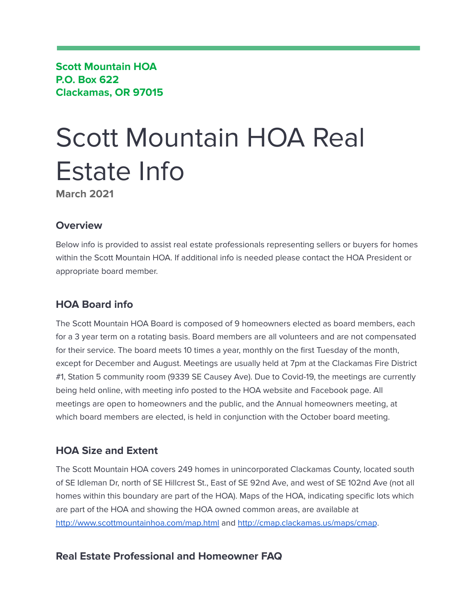**Scott Mountain HOA P.O. Box 622 Clackamas, OR 97015**

# Scott Mountain HOA Real Estate Info

**March 2021**

# **Overview**

Below info is provided to assist real estate professionals representing sellers or buyers for homes within the Scott Mountain HOA. If additional info is needed please contact the HOA President or appropriate board member.

# **HOA Board info**

The Scott Mountain HOA Board is composed of 9 homeowners elected as board members, each for a 3 year term on a rotating basis. Board members are all volunteers and are not compensated for their service. The board meets 10 times a year, monthly on the first Tuesday of the month, except for December and August. Meetings are usually held at 7pm at the Clackamas Fire District #1, Station 5 community room (9339 SE Causey Ave). Due to Covid-19, the meetings are currently being held online, with meeting info posted to the HOA website and Facebook page. All meetings are open to homeowners and the public, and the Annual homeowners meeting, at which board members are elected, is held in conjunction with the October board meeting.

# **HOA Size and Extent**

The Scott Mountain HOA covers 249 homes in unincorporated Clackamas County, located south of SE Idleman Dr, north of SE Hillcrest St., East of SE 92nd Ave, and west of SE 102nd Ave (not all homes within this boundary are part of the HOA). Maps of the HOA, indicating specific lots which are part of the HOA and showing the HOA owned common areas, are available at <http://www.scottmountainhoa.com/map.html> and <http://cmap.clackamas.us/maps/cmap>.

# **Real Estate Professional and Homeowner FAQ**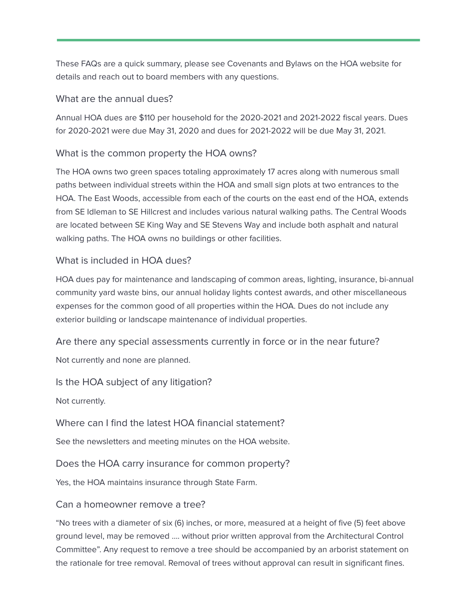These FAQs are a quick summary, please see Covenants and Bylaws on the HOA website for details and reach out to board members with any questions.

#### What are the annual dues?

Annual HOA dues are \$110 per household for the 2020-2021 and 2021-2022 fiscal years. Dues for 2020-2021 were due May 31, 2020 and dues for 2021-2022 will be due May 31, 2021.

#### What is the common property the HOA owns?

The HOA owns two green spaces totaling approximately 17 acres along with numerous small paths between individual streets within the HOA and small sign plots at two entrances to the HOA. The East Woods, accessible from each of the courts on the east end of the HOA, extends from SE Idleman to SE Hillcrest and includes various natural walking paths. The Central Woods are located between SE King Way and SE Stevens Way and include both asphalt and natural walking paths. The HOA owns no buildings or other facilities.

#### What is included in HOA dues?

HOA dues pay for maintenance and landscaping of common areas, lighting, insurance, bi-annual community yard waste bins, our annual holiday lights contest awards, and other miscellaneous expenses for the common good of all properties within the HOA. Dues do not include any exterior building or landscape maintenance of individual properties.

Are there any special assessments currently in force or in the near future? Not currently and none are planned.

Is the HOA subject of any litigation?

Not currently.

Where can I find the latest HOA financial statement?

See the newsletters and meeting minutes on the HOA website.

Does the HOA carry insurance for common property?

Yes, the HOA maintains insurance through State Farm.

#### Can a homeowner remove a tree?

"No trees with a diameter of six (6) inches, or more, measured at a height of five (5) feet above ground level, may be removed …. without prior written approval from the Architectural Control Committee". Any request to remove a tree should be accompanied by an arborist statement on the rationale for tree removal. Removal of trees without approval can result in significant fines.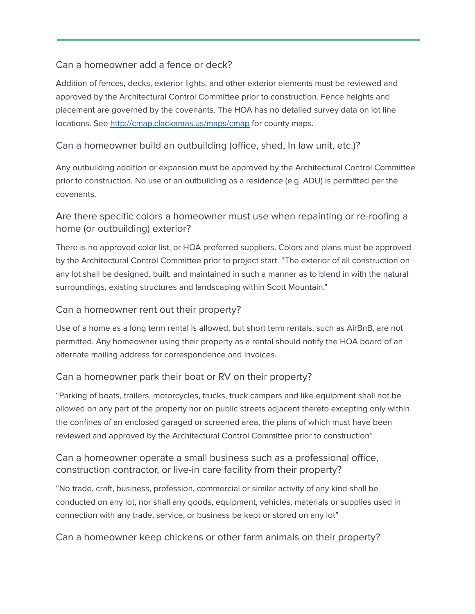#### Can a homeowner add a fence or deck?

Addition of fences, decks, exterior lights, and other exterior elements must be reviewed and approved by the Architectural Control Committee prior to construction. Fence heights and placement are governed by the covenants. The HOA has no detailed survey data on lot line locations. See <http://cmap.clackamas.us/maps/cmap> for county maps.

#### Can a homeowner build an outbuilding (office, shed, In law unit, etc.)?

Any outbuilding addition or expansion must be approved by the Architectural Control Committee prior to construction. No use of an outbuilding as a residence (e.g. ADU) is permitted per the covenants.

## Are there specific colors a homeowner must use when repainting or re-roofing a home (or outbuilding) exterior?

There is no approved color list, or HOA preferred suppliers. Colors and plans must be approved by the Architectural Control Committee prior to project start. "The exterior of all construction on any lot shall be designed, built, and maintained in such a manner as to blend in with the natural surroundings, existing structures and landscaping within Scott Mountain."

#### Can a homeowner rent out their property?

Use of a home as a long term rental is allowed, but short term rentals, such as AirBnB, are not permitted. Any homeowner using their property as a rental should notify the HOA board of an alternate mailing address for correspondence and invoices.

## Can a homeowner park their boat or RV on their property?

"Parking of boats, trailers, motorcycles, trucks, truck campers and like equipment shall not be allowed on any part of the property nor on public streets adjacent thereto excepting only within the confines of an enclosed garaged or screened area, the plans of which must have been reviewed and approved by the Architectural Control Committee prior to construction"

## Can a homeowner operate a small business such as a professional office, construction contractor, or live-in care facility from their property?

"No trade, craft, business, profession, commercial or similar activity of any kind shall be conducted on any lot, nor shall any goods, equipment, vehicles, materials or supplies used in connection with any trade, service, or business be kept or stored on any lot"

Can a homeowner keep chickens or other farm animals on their property?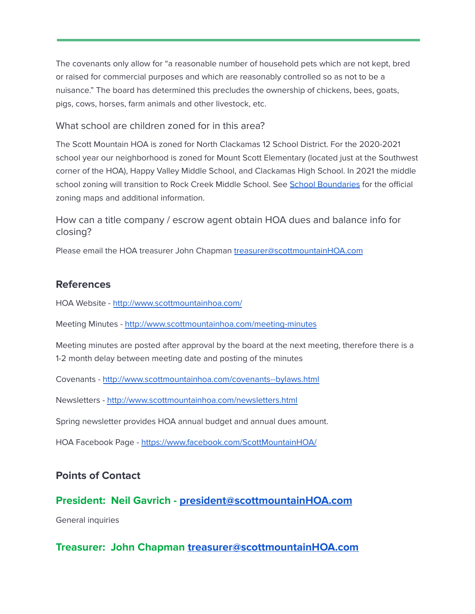The covenants only allow for "a reasonable number of household pets which are not kept, bred or raised for commercial purposes and which are reasonably controlled so as not to be a nuisance." The board has determined this precludes the ownership of chickens, bees, goats, pigs, cows, horses, farm animals and other livestock, etc.

#### What school are children zoned for in this area?

The Scott Mountain HOA is zoned for North Clackamas 12 School District. For the 2020-2021 school year our neighborhood is zoned for Mount Scott Elementary (located just at the Southwest corner of the HOA), Happy Valley Middle School, and Clackamas High School. In 2021 the middle school zoning will transition to Rock Creek Middle School. See School [Boundaries](https://www.nclack.k12.or.us/registration/page/school-boundaries) for the official zoning maps and additional information.

How can a title company / escrow agent obtain HOA dues and balance info for closing?

Please email the HOA treasurer John Chapman [treasurer@scottmountainHOA.com](mailto:treasurer@scottmountainHOA.com)

# **References**

HOA Website - <http://www.scottmountainhoa.com/>

Meeting Minutes - <http://www.scottmountainhoa.com/meeting-minutes>

Meeting minutes are posted after approval by the board at the next meeting, therefore there is a 1-2 month delay between meeting date and posting of the minutes

Covenants - <http://www.scottmountainhoa.com/covenants--bylaws.html>

Newsletters - <http://www.scottmountainhoa.com/newsletters.html>

Spring newsletter provides HOA annual budget and annual dues amount.

HOA Facebook Page - <https://www.facebook.com/ScottMountainHOA/>

## **Points of Contact**

## **President: Neil Gavrich - [president@scottmountainHOA.com](mailto:president@scottmountainHOA.com)**

General inquiries

# **Treasurer: John Chapman [treasurer@scottmountainHOA.com](mailto:treasurer@scottmountainHOA.com)**